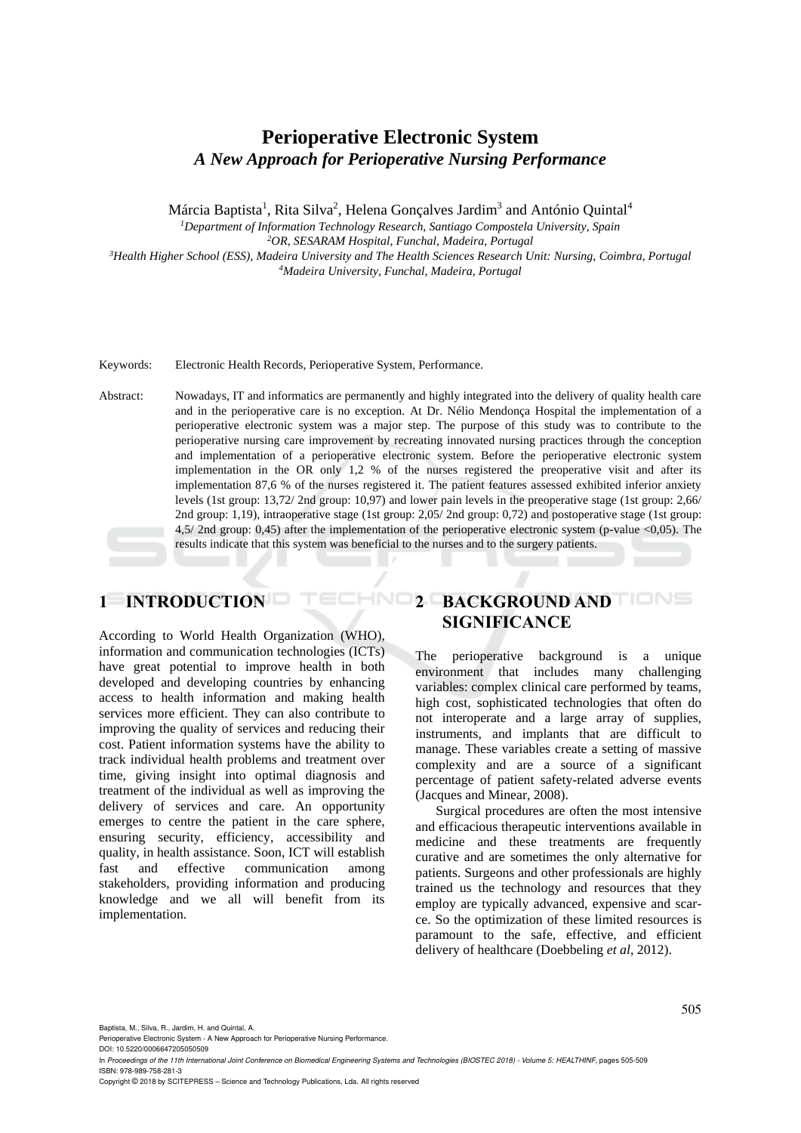# **Perioperative Electronic System** *A New Approach for Perioperative Nursing Performance*

Márcia Baptista<sup>1</sup>, Rita Silva<sup>2</sup>, Helena Gonçalves Jardim<sup>3</sup> and António Quintal<sup>4</sup>

*<sup>1</sup>Department of Information Technology Research, Santiago Compostela University, Spain <sup>2</sup>OR, SESARAM Hospital, Funchal, Madeira, Portugal*

*<sup>3</sup>Health Higher School (ESS), Madeira University and The Health Sciences Research Unit: Nursing, Coimbra, Portugal <sup>4</sup>Madeira University, Funchal, Madeira, Portugal*

Keywords: Electronic Health Records, Perioperative System, Performance.

Abstract: Nowadays, IT and informatics are permanently and highly integrated into the delivery of quality health care and in the perioperative care is no exception. At Dr. Nélio Mendonça Hospital the implementation of a perioperative electronic system was a major step. The purpose of this study was to contribute to the perioperative nursing care improvement by recreating innovated nursing practices through the conception and implementation of a perioperative electronic system. Before the perioperative electronic system implementation in the OR only 1,2 % of the nurses registered the preoperative visit and after its implementation 87,6 % of the nurses registered it. The patient features assessed exhibited inferior anxiety levels (1st group: 13,72/ 2nd group: 10,97) and lower pain levels in the preoperative stage (1st group: 2,66/ 2nd group: 1,19), intraoperative stage (1st group: 2,05/ 2nd group: 0,72) and postoperative stage (1st group: 4,5/ 2nd group: 0,45) after the implementation of the perioperative electronic system (p-value <0,05). The results indicate that this system was beneficial to the nurses and to the surgery patients.

HNO

## **1 INTRODUCTION**

According to World Health Organization (WHO), information and communication technologies (ICTs) have great potential to improve health in both developed and developing countries by enhancing access to health information and making health services more efficient. They can also contribute to improving the quality of services and reducing their cost. Patient information systems have the ability to track individual health problems and treatment over time, giving insight into optimal diagnosis and treatment of the individual as well as improving the delivery of services and care. An opportunity emerges to centre the patient in the care sphere, ensuring security, efficiency, accessibility and quality, in health assistance. Soon, ICT will establish fast and effective communication among stakeholders, providing information and producing knowledge and we all will benefit from its implementation.

# **2 BACKGROUND AND SIGNIFICANCE**

The perioperative background is a unique environment that includes many challenging variables: complex clinical care performed by teams, high cost, sophisticated technologies that often do not interoperate and a large array of supplies, instruments, and implants that are difficult to manage. These variables create a setting of massive complexity and are a source of a significant percentage of patient safety-related adverse events (Jacques and Minear, 2008).

Surgical procedures are often the most intensive and efficacious therapeutic interventions available in medicine and these treatments are frequently curative and are sometimes the only alternative for patients. Surgeons and other professionals are highly trained us the technology and resources that they employ are typically advanced, expensive and scarce. So the optimization of these limited resources is paramount to the safe, effective, and efficient delivery of healthcare (Doebbeling *et al*, 2012).

Baptista, M., Silva, R., Jardim, H. and Quintal, A.

DOI: 10.5220/0006647205050509

In *Proceedings of the 11th International Joint Conference on Biomedical Engineering Systems and Technologies (BIOSTEC 2018) - Volume 5: HEALTHINF*, pages 505-509 ISBN: 978-989-758-281-3

Copyright © 2018 by SCITEPRESS – Science and Technology Publications, Lda. All rights reserved

Perioperative Electronic System - A New Approach for Perioperative Nursing Performance.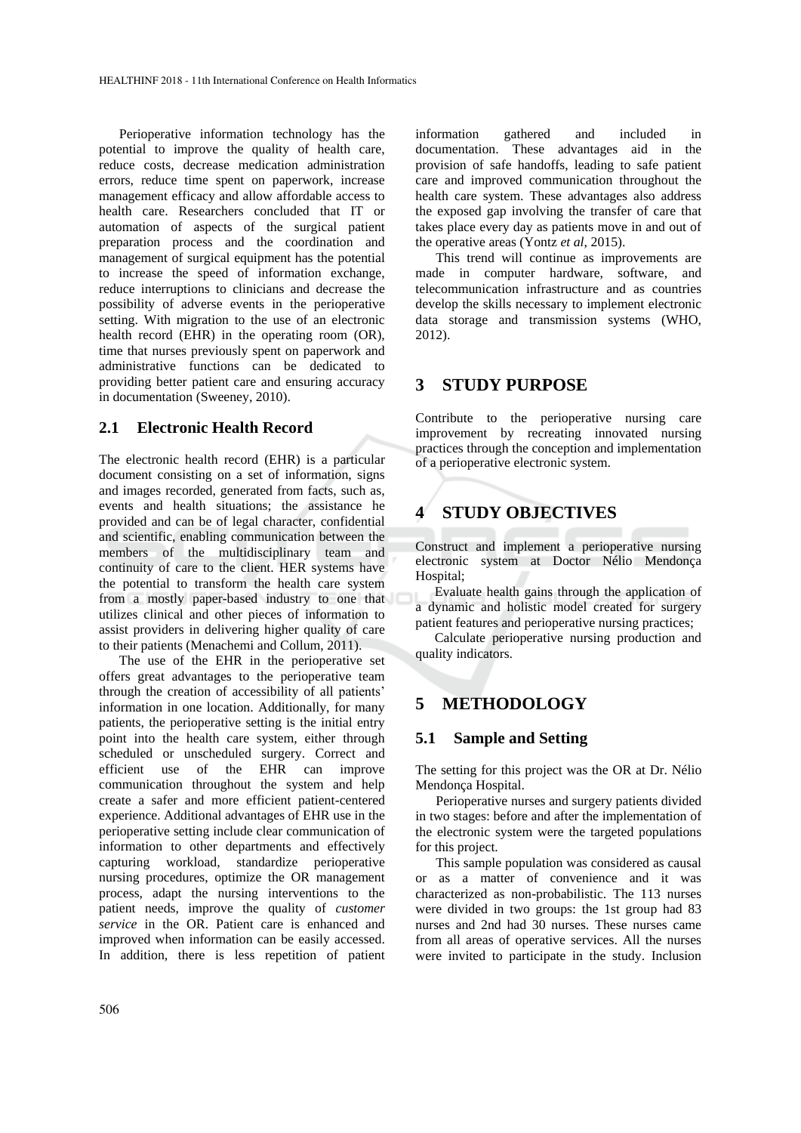Perioperative information technology has the potential to improve the quality of health care, reduce costs, decrease medication administration errors, reduce time spent on paperwork, increase management efficacy and allow affordable access to health care. Researchers concluded that IT or automation of aspects of the surgical patient preparation process and the coordination and management of surgical equipment has the potential to increase the speed of information exchange, reduce interruptions to clinicians and decrease the possibility of adverse events in the perioperative setting. With migration to the use of an electronic health record (EHR) in the operating room (OR), time that nurses previously spent on paperwork and administrative functions can be dedicated to providing better patient care and ensuring accuracy in documentation (Sweeney, 2010).

#### **2.1 Electronic Health Record**

The electronic health record (EHR) is a particular document consisting on a set of information, signs and images recorded, generated from facts, such as, events and health situations; the assistance he provided and can be of legal character, confidential and scientific, enabling communication between the members of the multidisciplinary team and continuity of care to the client. HER systems have the potential to transform the health care system from a mostly paper-based industry to one that utilizes clinical and other pieces of information to assist providers in delivering higher quality of care to their patients (Menachemi and Collum, 2011).

The use of the EHR in the perioperative set offers great advantages to the perioperative team through the creation of accessibility of all patients' information in one location. Additionally, for many patients, the perioperative setting is the initial entry point into the health care system, either through scheduled or unscheduled surgery. Correct and efficient use of the EHR can improve communication throughout the system and help create a safer and more efficient patient-centered experience. Additional advantages of EHR use in the perioperative setting include clear communication of information to other departments and effectively capturing workload, standardize perioperative nursing procedures, optimize the OR management process, adapt the nursing interventions to the patient needs, improve the quality of *customer service* in the OR. Patient care is enhanced and improved when information can be easily accessed. In addition, there is less repetition of patient information gathered and included in documentation. These advantages aid in the provision of safe handoffs, leading to safe patient care and improved communication throughout the health care system. These advantages also address the exposed gap involving the transfer of care that takes place every day as patients move in and out of the operative areas (Yontz *et al*, 2015).

This trend will continue as improvements are made in computer hardware, software, and telecommunication infrastructure and as countries develop the skills necessary to implement electronic data storage and transmission systems (WHO, 2012).

## **3 STUDY PURPOSE**

Contribute to the perioperative nursing care improvement by recreating innovated nursing practices through the conception and implementation of a perioperative electronic system.

# **4 STUDY OBJECTIVES**

Construct and implement a perioperative nursing electronic system at Doctor Nélio Mendonça Hospital;

Evaluate health gains through the application of a dynamic and holistic model created for surgery patient features and perioperative nursing practices;

Calculate perioperative nursing production and quality indicators.

## **5 METHODOLOGY**

#### **5.1 Sample and Setting**

The setting for this project was the OR at Dr. Nélio Mendonça Hospital.

Perioperative nurses and surgery patients divided in two stages: before and after the implementation of the electronic system were the targeted populations for this project.

This sample population was considered as causal or as a matter of convenience and it was characterized as non-probabilistic. The 113 nurses were divided in two groups: the 1st group had 83 nurses and 2nd had 30 nurses. These nurses came from all areas of operative services. All the nurses were invited to participate in the study. Inclusion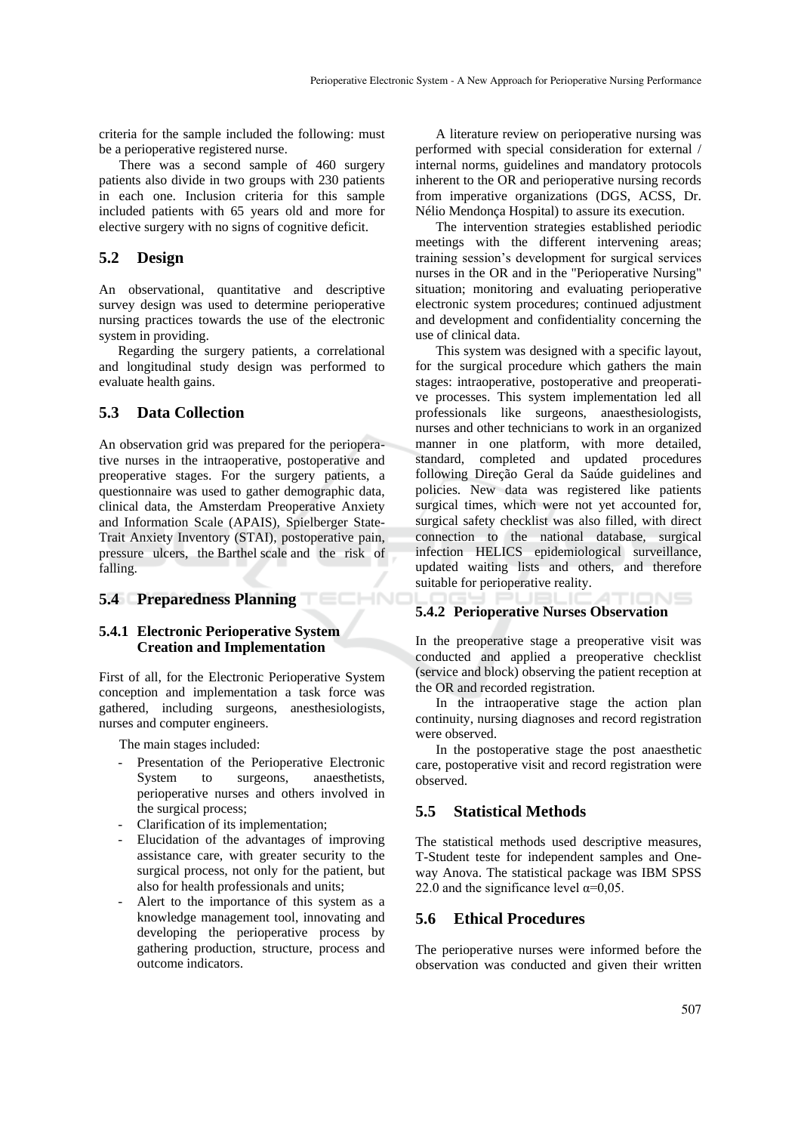criteria for the sample included the following: must be a perioperative registered nurse.

There was a second sample of 460 surgery patients also divide in two groups with 230 patients in each one. Inclusion criteria for this sample included patients with 65 years old and more for elective surgery with no signs of cognitive deficit.

### **5.2 Design**

An observational, quantitative and descriptive survey design was used to determine perioperative nursing practices towards the use of the electronic system in providing.

Regarding the surgery patients, a correlational and longitudinal study design was performed to evaluate health gains.

### **5.3 Data Collection**

An observation grid was prepared for the perioperative nurses in the intraoperative, postoperative and preoperative stages. For the surgery patients, a questionnaire was used to gather demographic data, clinical data, the Amsterdam Preoperative Anxiety and Information Scale (APAIS), Spielberger State-Trait Anxiety Inventory (STAI), postoperative pain, pressure ulcers, the Barthel scale and the risk of falling.

# **5.4 Preparedness Planning**

#### **5.4.1 Electronic Perioperative System Creation and Implementation**

First of all, for the Electronic Perioperative System conception and implementation a task force was gathered, including surgeons, anesthesiologists, nurses and computer engineers.

The main stages included:

- Presentation of the Perioperative Electronic System to surgeons, anaesthetists, perioperative nurses and others involved in the surgical process;
- Clarification of its implementation;
- Elucidation of the advantages of improving assistance care, with greater security to the surgical process, not only for the patient, but also for health professionals and units;
- Alert to the importance of this system as a knowledge management tool, innovating and developing the perioperative process by gathering production, structure, process and outcome indicators.

A literature review on perioperative nursing was performed with special consideration for external / internal norms, guidelines and mandatory protocols inherent to the OR and perioperative nursing records from imperative organizations (DGS, ACSS, Dr. Nélio Mendonça Hospital) to assure its execution.

The intervention strategies established periodic meetings with the different intervening areas; training session's development for surgical services nurses in the OR and in the "Perioperative Nursing" situation; monitoring and evaluating perioperative electronic system procedures; continued adjustment and development and confidentiality concerning the use of clinical data.

This system was designed with a specific layout, for the surgical procedure which gathers the main stages: intraoperative, postoperative and preoperative processes. This system implementation led all professionals like surgeons, anaesthesiologists, nurses and other technicians to work in an organized manner in one platform, with more detailed, standard, completed and updated procedures following Direção Geral da Saúde guidelines and policies. New data was registered like patients surgical times, which were not yet accounted for, surgical safety checklist was also filled, with direct connection to the national database, surgical infection HELICS epidemiological surveillance, updated waiting lists and others, and therefore suitable for perioperative reality.

#### $N =$ **5.4.2 Perioperative Nurses Observation**

In the preoperative stage a preoperative visit was conducted and applied a preoperative checklist (service and block) observing the patient reception at the OR and recorded registration.

In the intraoperative stage the action plan continuity, nursing diagnoses and record registration were observed.

In the postoperative stage the post anaesthetic care, postoperative visit and record registration were observed.

#### **5.5 Statistical Methods**

The statistical methods used descriptive measures, T-Student teste for independent samples and Oneway Anova. The statistical package was IBM SPSS 22.0 and the significance level  $\alpha$ =0,05.

#### **5.6 Ethical Procedures**

The perioperative nurses were informed before the observation was conducted and given their written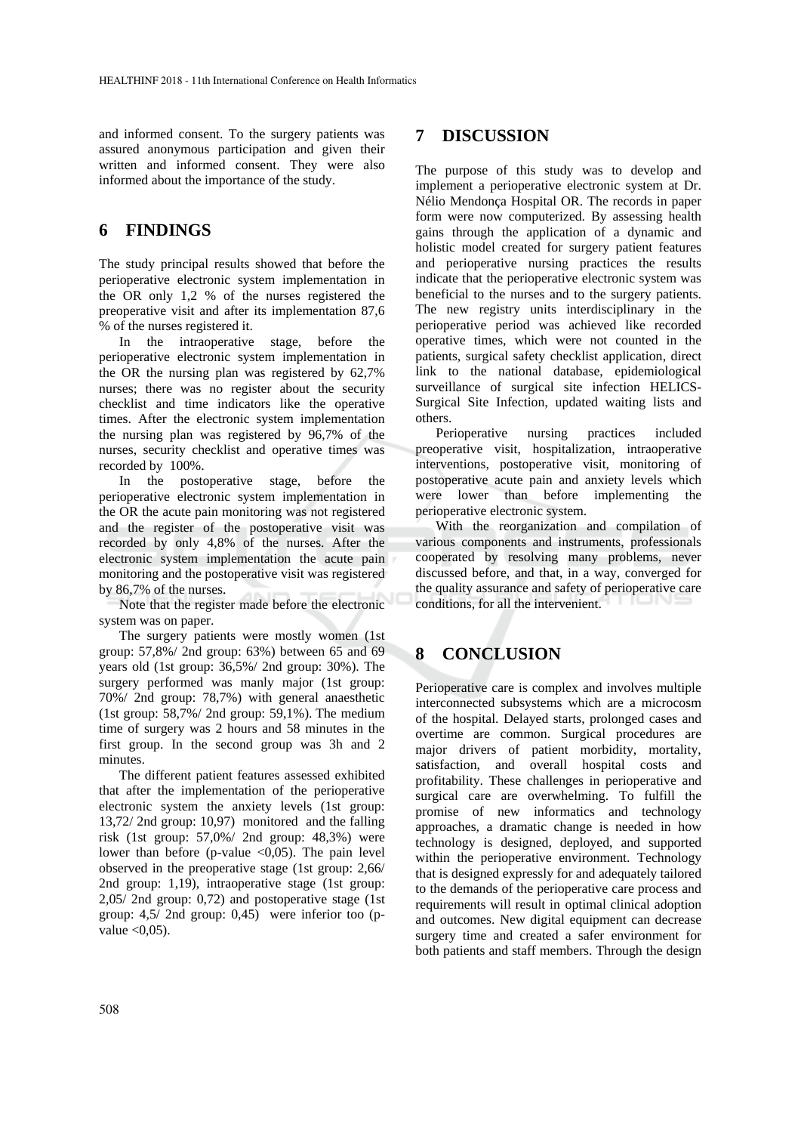and informed consent. To the surgery patients was assured anonymous participation and given their written and informed consent. They were also informed about the importance of the study.

### **6 FINDINGS**

The study principal results showed that before the perioperative electronic system implementation in the OR only 1,2 % of the nurses registered the preoperative visit and after its implementation 87,6 % of the nurses registered it.

In the intraoperative stage, before the perioperative electronic system implementation in the OR the nursing plan was registered by 62,7% nurses; there was no register about the security checklist and time indicators like the operative times. After the electronic system implementation the nursing plan was registered by 96,7% of the nurses, security checklist and operative times was recorded by 100%.

In the postoperative stage, before the perioperative electronic system implementation in the OR the acute pain monitoring was not registered and the register of the postoperative visit was recorded by only 4,8% of the nurses. After the electronic system implementation the acute pain monitoring and the postoperative visit was registered by 86,7% of the nurses.

Note that the register made before the electronic system was on paper.

The surgery patients were mostly women (1st group: 57,8%/ 2nd group: 63%) between 65 and 69 years old (1st group: 36,5%/ 2nd group: 30%). The surgery performed was manly major (1st group: 70%/ 2nd group: 78,7%) with general anaesthetic (1st group: 58,7%/ 2nd group: 59,1%). The medium time of surgery was 2 hours and 58 minutes in the first group. In the second group was 3h and 2 minutes.

The different patient features assessed exhibited that after the implementation of the perioperative electronic system the anxiety levels (1st group: 13,72/ 2nd group: 10,97) monitored and the falling risk (1st group: 57,0%/ 2nd group: 48,3%) were lower than before (p-value  $\langle 0,05 \rangle$ ). The pain level observed in the preoperative stage (1st group: 2,66/ 2nd group: 1,19), intraoperative stage (1st group: 2,05/ 2nd group: 0,72) and postoperative stage (1st group: 4,5/ 2nd group: 0,45) were inferior too (pvalue  $\langle 0.05 \rangle$ .

## **7 DISCUSSION**

The purpose of this study was to develop and implement a perioperative electronic system at Dr. Nélio Mendonça Hospital OR. The records in paper form were now computerized. By assessing health gains through the application of a dynamic and holistic model created for surgery patient features and perioperative nursing practices the results indicate that the perioperative electronic system was beneficial to the nurses and to the surgery patients. The new registry units interdisciplinary in the perioperative period was achieved like recorded operative times, which were not counted in the patients, surgical safety checklist application, direct link to the national database, epidemiological surveillance of surgical site infection HELICS-Surgical Site Infection, updated waiting lists and others.

Perioperative nursing practices included preoperative visit, hospitalization, intraoperative interventions, postoperative visit, monitoring of postoperative acute pain and anxiety levels which were lower than before implementing the perioperative electronic system.

With the reorganization and compilation of various components and instruments, professionals cooperated by resolving many problems, never discussed before, and that, in a way, converged for the quality assurance and safety of perioperative care conditions, for all the intervenient.

# **8 CONCLUSION**

Perioperative care is complex and involves multiple interconnected subsystems which are a microcosm of the hospital. Delayed starts, prolonged cases and overtime are common. Surgical procedures are major drivers of patient morbidity, mortality, satisfaction, and overall hospital costs and profitability. These challenges in perioperative and surgical care are overwhelming. To fulfill the promise of new informatics and technology approaches, a dramatic change is needed in how technology is designed, deployed, and supported within the perioperative environment. Technology that is designed expressly for and adequately tailored to the demands of the perioperative care process and requirements will result in optimal clinical adoption and outcomes. New digital equipment can decrease surgery time and created a safer environment for both patients and staff members. Through the design